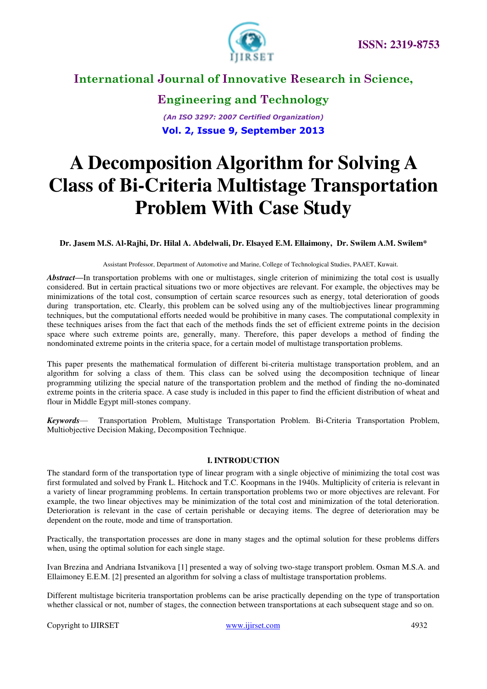

**Engineering and Technology** *(An ISO 3297: 2007 Certified Organization)*  **Vol. 2, Issue 9, September 2013**

# **A Decomposition Algorithm for Solving A Class of Bi-Criteria Multistage Transportation Problem With Case Study**

#### **Dr. Jasem M.S. Al-Rajhi, Dr. Hilal A. Abdelwali, Dr. Elsayed E.M. Ellaimony, Dr. Swilem A.M. Swilem\***

Assistant Professor, Department of Automotive and Marine, College of Technological Studies, PAAET, Kuwait.

*Abstract***—**In transportation problems with one or multistages, single criterion of minimizing the total cost is usually considered. But in certain practical situations two or more objectives are relevant. For example, the objectives may be minimizations of the total cost, consumption of certain scarce resources such as energy, total deterioration of goods during transportation, etc. Clearly, this problem can be solved using any of the multiobjectives linear programming techniques, but the computational efforts needed would be prohibitive in many cases. The computational complexity in these techniques arises from the fact that each of the methods finds the set of efficient extreme points in the decision space where such extreme points are, generally, many. Therefore, this paper develops a method of finding the nondominated extreme points in the criteria space, for a certain model of multistage transportation problems.

This paper presents the mathematical formulation of different bi-criteria multistage transportation problem, and an algorithm for solving a class of them. This class can be solved using the decomposition technique of linear programming utilizing the special nature of the transportation problem and the method of finding the no-dominated extreme points in the criteria space. A case study is included in this paper to find the efficient distribution of wheat and flour in Middle Egypt mill-stones company.

*Keywords*— Transportation Problem, Multistage Transportation Problem. Bi-Criteria Transportation Problem, Multiobjective Decision Making, Decomposition Technique.

#### **I. INTRODUCTION**

The standard form of the transportation type of linear program with a single objective of minimizing the total cost was first formulated and solved by Frank L. Hitchock and T.C. Koopmans in the 1940s. Multiplicity of criteria is relevant in a variety of linear programming problems. In certain transportation problems two or more objectives are relevant. For example, the two linear objectives may be minimization of the total cost and minimization of the total deterioration. Deterioration is relevant in the case of certain perishable or decaying items. The degree of deterioration may be dependent on the route, mode and time of transportation.

Practically, the transportation processes are done in many stages and the optimal solution for these problems differs when, using the optimal solution for each single stage.

Ivan Brezina and Andriana Istvanikova [1] presented a way of solving two-stage transport problem. Osman M.S.A. and Ellaimoney E.E.M. [2] presented an algorithm for solving a class of multistage transportation problems.

Different multistage bicriteria transportation problems can be arise practically depending on the type of transportation whether classical or not, number of stages, the connection between transportations at each subsequent stage and so on.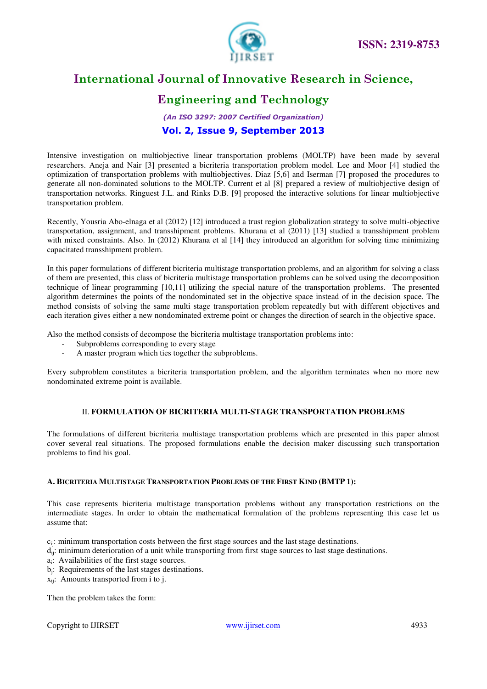

# **Engineering and Technology**

### *(An ISO 3297: 2007 Certified Organization)*  **Vol. 2, Issue 9, September 2013**

Intensive investigation on multiobjective linear transportation problems (MOLTP) have been made by several researchers. Aneja and Nair [3] presented a bicriteria transportation problem model. Lee and Moor [4] studied the optimization of transportation problems with multiobjectives. Diaz [5,6] and Iserman [7] proposed the procedures to generate all non-dominated solutions to the MOLTP. Current et al [8] prepared a review of multiobjective design of transportation networks. Ringuest J.L. and Rinks D.B. [9] proposed the interactive solutions for linear multiobjective transportation problem.

Recently, Yousria Abo-elnaga et al (2012) [12] introduced a trust region globalization strategy to solve multi-objective transportation, assignment, and transshipment problems. Khurana et al (2011) [13] studied a transshipment problem with mixed constraints. Also. In (2012) Khurana et al [14] they introduced an algorithm for solving time minimizing capacitated transshipment problem.

In this paper formulations of different bicriteria multistage transportation problems, and an algorithm for solving a class of them are presented, this class of bicriteria multistage transportation problems can be solved using the decomposition technique of linear programming [10,11] utilizing the special nature of the transportation problems. The presented algorithm determines the points of the nondominated set in the objective space instead of in the decision space. The method consists of solving the same multi stage transportation problem repeatedly but with different objectives and each iteration gives either a new nondominated extreme point or changes the direction of search in the objective space.

Also the method consists of decompose the bicriteria multistage transportation problems into:

- Subproblems corresponding to every stage
- A master program which ties together the subproblems.

Every subproblem constitutes a bicriteria transportation problem, and the algorithm terminates when no more new nondominated extreme point is available.

#### II. **FORMULATION OF BICRITERIA MULTI-STAGE TRANSPORTATION PROBLEMS**

The formulations of different bicriteria multistage transportation problems which are presented in this paper almost cover several real situations. The proposed formulations enable the decision maker discussing such transportation problems to find his goal.

#### **A. BICRITERIA MULTISTAGE TRANSPORTATION PROBLEMS OF THE FIRST KIND (BMTP 1):**

This case represents bicriteria multistage transportation problems without any transportation restrictions on the intermediate stages. In order to obtain the mathematical formulation of the problems representing this case let us assume that:

- $c_{ij}$ : minimum transportation costs between the first stage sources and the last stage destinations.
- $d_{ii}$ : minimum deterioration of a unit while transporting from first stage sources to last stage destinations.
- a<sub>i</sub>: Availabilities of the first stage sources.
- bj : Requirements of the last stages destinations.
- xij: Amounts transported from i to j.

Then the problem takes the form: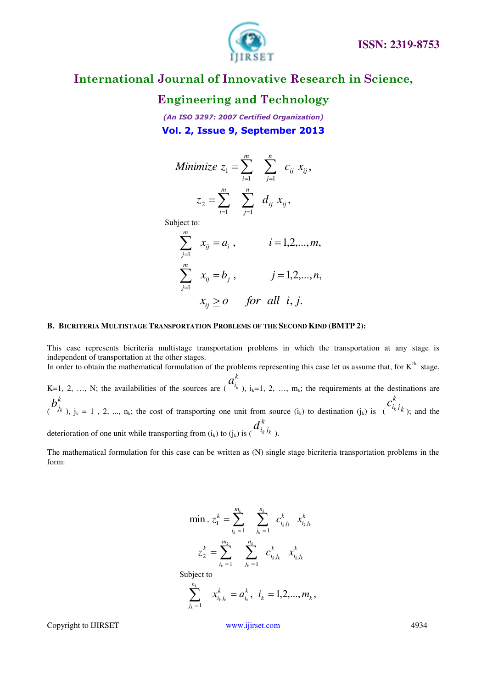



### **Engineering and Technology**

*(An ISO 3297: 2007 Certified Organization)*  **Vol. 2, Issue 9, September 2013**

Minimize 
$$
z_1 = \sum_{i=1}^m \sum_{j=1}^n c_{ij} x_{ij}
$$
,  

$$
z_2 = \sum_{i=1}^m \sum_{j=1}^n d_{ij} x_{ij}
$$
,

Subject to:

$$
\sum_{j=1}^{m} x_{ij} = a_i, \qquad i = 1, 2, ..., m,
$$
  

$$
\sum_{j=1}^{m} x_{ij} = b_j, \qquad j = 1, 2, ..., n,
$$
  

$$
x_{ij} \ge 0 \qquad \text{for all } i, j.
$$

#### **B. BICRITERIA MULTISTAGE TRANSPORTATION PROBLEMS OF THE SECOND KIND (BMTP 2):**

This case represents bicriteria multistage transportation problems in which the transportation at any stage is independent of transportation at the other stages.

In order to obtain the mathematical formulation of the problems representing this case let us assume that, for  $K<sup>th</sup>$  stage, K=1, 2, …, N; the availabilities of the sources are ( *k*  $a_{i_k}^k$ ),  $i_k=1, 2, ..., m_k$ ; the requirements at the destinations are ( *k*  $b_{j_k}^k$ ),  $j_k = 1$ , 2, ...,  $n_k$ ; the cost of transporting one unit from source  $(i_k)$  to destination  $(j_k)$  is  $\binom{i_k}{k}$ *k*  $c_{i_kj}^{\kappa}$ ); and the deterioration of one unit while transporting from  $(i_k)$  to  $(j_k)$  is ( *k*  $d_{i_kj_{k-j_k}}^{\kappa}$ 

The mathematical formulation for this case can be written as (N) single stage bicriteria transportation problems in the form:

$$
\min. z_1^k = \sum_{i_k=1}^{m_k} \sum_{j_k=1}^{n_k} c_{i_k j_k}^k x_{i_k j_k}^k
$$

$$
z_2^k = \sum_{i_k=1}^{m_k} \sum_{j_k=1}^{n_k} c_{i_k j_k}^k x_{i_k j_k}^k
$$
  
Subject to

$$
\sum_{j_k=1}^{n_k} x_{i_kj_k}^k = a_{i_k}^k, \ \ i_k = 1, 2, ..., m_k,
$$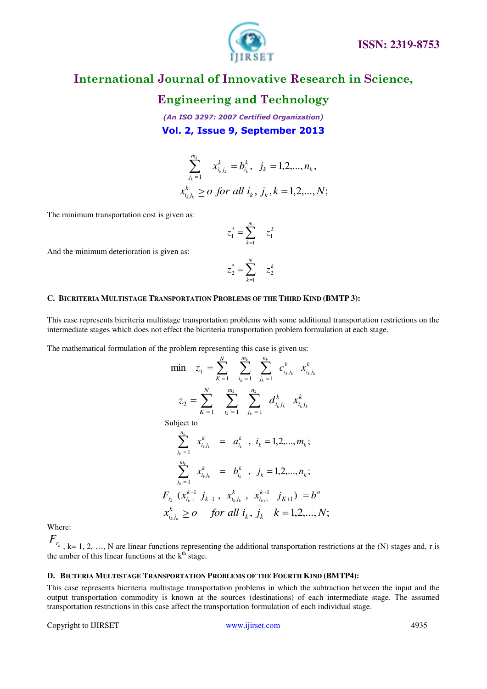

### **Engineering and Technology**

*(An ISO 3297: 2007 Certified Organization)*  **Vol. 2, Issue 9, September 2013**

$$
\sum_{j_k=1}^{m_k} x_{i_k j_k}^k = b_{i_k}^k, \ \ j_k = 1, 2, ..., n_k,
$$
  

$$
x_{i_k j_k}^k \geq 0 \ \text{for all } i_k, \ j_k, k = 1, 2, ..., N;
$$

The minimum transportation cost is given as:

$$
z_1^* = \sum_{k=1}^N \quad z_1^k
$$

And the minimum deterioration is given as:

$$
z_2^* = \sum_{k=1}^N \quad z_2^k
$$

#### **C. BICRITERIA MULTISTAGE TRANSPORTATION PROBLEMS OF THE THIRD KIND (BMTP 3):**

This case represents bicriteria multistage transportation problems with some additional transportation restrictions on the intermediate stages which does not effect the bicriteria transportation problem formulation at each stage.

The mathematical formulation of the problem representing this case is given us:

*kk*

$$
\begin{aligned}\n\min \quad & z_1 = \sum_{k=1}^N \sum_{i_k=1}^{m_k} \sum_{j_k=1}^{n_k} c_{i_k j_k}^k x_{i_k j_k}^k \\
& z_2 = \sum_{k=1}^N \sum_{i_k=1}^{m_k} \sum_{j_k=1}^{m_k} d_{i_k j_k}^k x_{i_k j_k}^k \\
\text{Subject to} \\
& \sum_{j_k=1}^{n_k} x_{i_k j_k}^k = a_{i_k}^k \quad \text{if } i = 1, 2, \dots, m_k; \\
& \sum_{j_k=1}^{m_k} x_{i_k j_k}^k = b_{i_k}^k \quad \text{if } j_k = 1, 2, \dots, n_k; \\
& F_n (x_{i_{k-1}}^{k-1} j_{k-1}, x_{i_k j_k}^k, x_{i_{k+1}}^{k+1} j_{K+1}) = b^o \\
& x_{i_k j_k}^k \geq o \quad \text{for all } i_k, j_k \quad k = 1, 2, \dots, N;\n\end{aligned}
$$

Where:

 $F_{r_k}$ , k= 1, 2, ..., N are linear functions representing the additional transportation restrictions at the (N) stages and, r is the umber of this linear functions at the  $k<sup>th</sup>$  stage.

#### **D. BICTERIA MULTISTAGE TRANSPORTATION PROBLEMS OF THE FOURTH KIND (BMTP4):**

This case represents bicriteria multistage transportation problems in which the subtraction between the input and the output transportation commodity is known at the sources (destinations) of each intermediate stage. The assumed transportation restrictions in this case affect the transportation formulation of each individual stage.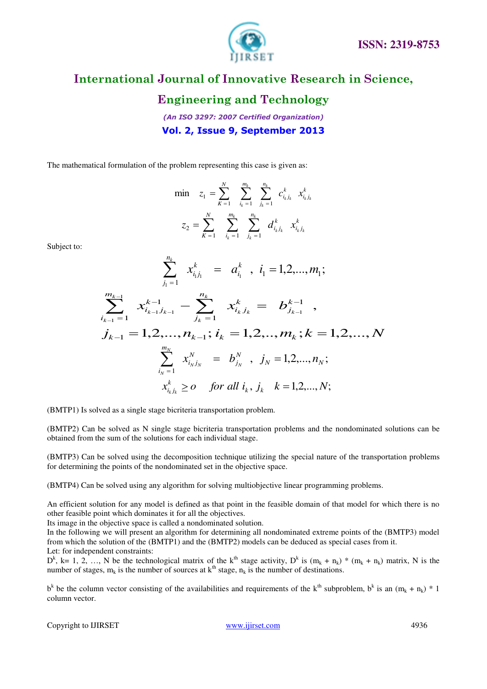

### **Engineering and Technology**

*(An ISO 3297: 2007 Certified Organization)*  **Vol. 2, Issue 9, September 2013**

The mathematical formulation of the problem representing this case is given as:

$$
\begin{aligned}\n\min \quad & z_1 = \sum_{k=1}^{N} \sum_{i_k=1}^{m_k} \sum_{j_k=1}^{n_k} c_{i_k j_k}^k x_{i_k j_k}^k \\
& z_2 = \sum_{k=1}^{N} \sum_{i_k=1}^{m_k} \sum_{j_k=1}^{n_k} d_{i_k j_k}^k x_{i_k j_k}^k\n\end{aligned}
$$

Subject to:

*m*

*k*

1

 $\overline{a}$ 

$$
\sum_{j_1=1}^{n_k} x_{i_1j_1}^k = a_{i_1}^k, i_1 = 1, 2, ..., m_1;
$$
\n
$$
\sum_{k=1}^{m_{k-1}} x_{i_{k-1}j_{k-1}}^{k-1} - \sum_{j_k=1}^{n_k} x_{i_kj_k}^k = b_{j_{k-1}}^{k-1},
$$

$$
i_{k-1} = 1
$$
\n
$$
j_{k-1} = 1, 2, ..., n_{k-1}; i_k = 1, 2, ..., m_k; k = 1, 2, ..., N
$$
\n
$$
\sum_{i_N=1}^{m_N} x_{i_N j_N}^N = b_{j_N}^N, j_N = 1, 2, ..., n_N;
$$
\n
$$
x_{i_k j_k}^k \ge 0 \quad \text{for all } i_k, j_k \quad k = 1, 2, ..., N;
$$

(BMTP1) Is solved as a single stage bicriteria transportation problem.

(BMTP2) Can be solved as N single stage bicriteria transportation problems and the nondominated solutions can be obtained from the sum of the solutions for each individual stage.

(BMTP3) Can be solved using the decomposition technique utilizing the special nature of the transportation problems for determining the points of the nondominated set in the objective space.

(BMTP4) Can be solved using any algorithm for solving multiobjective linear programming problems.

An efficient solution for any model is defined as that point in the feasible domain of that model for which there is no other feasible point which dominates it for all the objectives.

Its image in the objective space is called a nondominated solution.

In the following we will present an algorithm for determining all nondominated extreme points of the (BMTP3) model from which the solution of the (BMTP1) and the (BMTP2) models can be deduced as special cases from it. Let: for independent constraints:

 $D^k$ , k= 1, 2, ..., N be the technological matrix of the k<sup>th</sup> stage activity,  $D^k$  is  $(m_k + n_k) * (m_k + n_k)$  matrix, N is the number of stages,  $m_k$  is the number of sources at  $k<sup>th</sup>$  stage,  $n_k$  is the number of destinations.

 $b^k$  be the column vector consisting of the availabilities and requirements of the  $k^{\text{th}}$  subproblem,  $b^k$  is an  $(m_k + n_k) * 1$ column vector.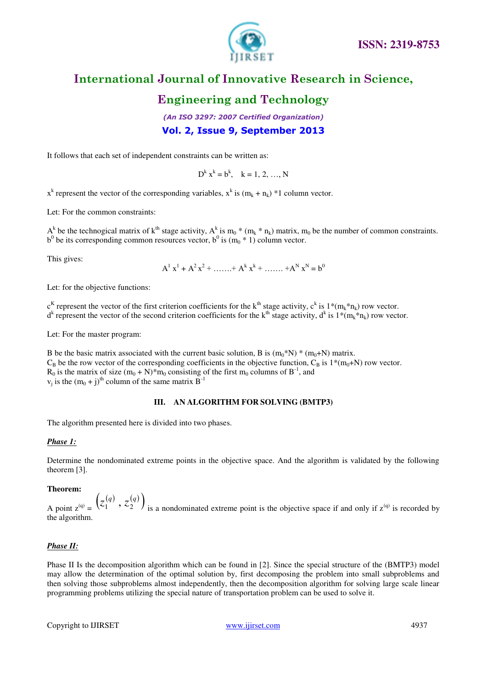

# **Engineering and Technology**

*(An ISO 3297: 2007 Certified Organization)*  **Vol. 2, Issue 9, September 2013**

It follows that each set of independent constraints can be written as:

 $D^k x^k = b^k$ ,  $k = 1, 2, ..., N$ 

 $x^k$  represent the vector of the corresponding variables,  $x^k$  is  $(m_k + n_k) * 1$  column vector.

Let: For the common constraints:

 $A_{\alpha}^{k}$  be the technogical matrix of  $k^{th}$  stage activity,  $A_{\alpha}^{k}$  is  $m_0 * (m_k * n_k)$  matrix,  $m_0$  be the number of common constraints.  $b<sup>0</sup>$  be its corresponding common resources vector,  $b<sup>0</sup>$  is  $(m<sub>0</sub> * 1)$  column vector.

This gives:

 $A^{1}x^{1} + A^{2}x^{2} + \dots + A^{k}x^{k} + \dots + A^{N}x^{N} = b^{0}$ 

Let: for the objective functions:

 $c^{K}$  represent the vector of the first criterion coefficients for the k<sup>th</sup> stage activity,  $c^{k}$  is  $1*(m_{k}*n_{k})$  row vector.  $d^k$  represent the vector of the second criterion coefficients for the k<sup>th</sup> stage activity,  $d^k$  is  $1*(m_k*n_k)$  row vector.

Let: For the master program:

B be the basic matrix associated with the current basic solution, B is  $(m_0*N) * (m_0+N)$  matrix.  $C_B$  be the row vector of the corresponding coefficients in the objective function,  $C_B$  is 1\*(m<sub>0</sub>+N) row vector.  $R_0$  is the matrix of size  $(m_0 + N)^*m_0$  consisting of the first m<sub>0</sub> columns of B<sup>-1</sup>, and  $v_j$  is the  $(m_0 + j)$ <sup>th</sup> column of the same matrix  $B^{-1}$ 

#### **III. AN ALGORITHM FOR SOLVING (BMTP3)**

The algorithm presented here is divided into two phases.

#### *Phase 1:*

Determine the nondominated extreme points in the objective space. And the algorithm is validated by the following theorem [3].

#### **Theorem:**

A point  $z^{(q)} = (z_1^{(q)}, z_2^{(q)})$  is a nondominated extreme point is the objective space if and only if  $z^{(q)}$  is recorded by the algorithm.

### *Phase II:*

Phase II Is the decomposition algorithm which can be found in [2]. Since the special structure of the (BMTP3) model may allow the determination of the optimal solution by, first decomposing the problem into small subproblems and then solving those subproblems almost independently, then the decomposition algorithm for solving large scale linear programming problems utilizing the special nature of transportation problem can be used to solve it.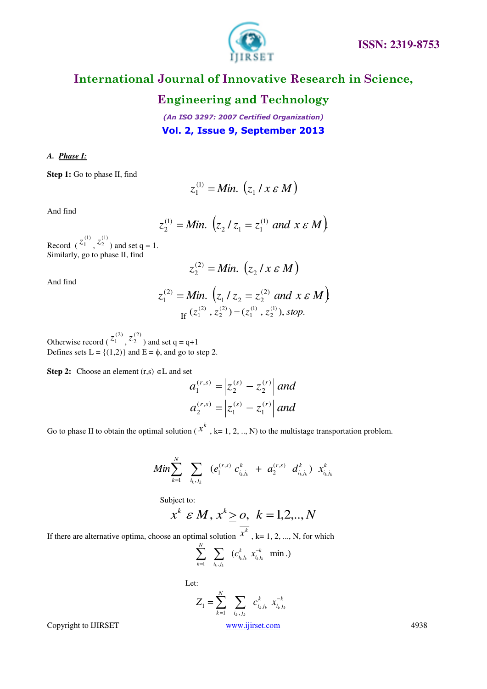

### **Engineering and Technology**

*(An ISO 3297: 2007 Certified Organization)*  **Vol. 2, Issue 9, September 2013**

#### *A. Phase I:*

**Step 1:** Go to phase II, find

$$
z_1^{(1)} = Min. (z_1 / x \varepsilon M)
$$

And find

$$
z_2^{(1)} = Min. \left(z_2 / z_1 = z_1^{(1)} \text{ and } x \in M\right)
$$

Record (  $^{(1)}$  $z_1^{(1)},$  $^{(1)}$  $z_2^{(1)}$ ) and set q = 1. Similarly, go to phase II, find

$$
z_2^{(2)} = Min. (z_2 / x \varepsilon M)
$$

And find

$$
z_1^{(2)} = Min. \left(z_1 / z_2 = z_2^{(2)} \text{ and } x \in M\right)
$$
  
If  $(z_1^{(2)}, z_2^{(2)}) = (z_1^{(1)}, z_2^{(1)})$ , stop.

Otherwise record (  $(2)$  $z_1^{(2)},$  $(2)$  $z_2^{(2)}$ ) and set q = q+1 Defines sets  $L = \{(1,2)\}\$ and  $E = \phi$ , and go to step 2.

**Step 2:** Choose an element  $(r,s) \in L$  and set

$$
a_1^{(r,s)} = \left| z_2^{(s)} - z_2^{(r)} \right| \text{ and}
$$
  
\n
$$
a_2^{(r,s)} = \left| z_1^{(s)} - z_1^{(r)} \right| \text{ and}
$$

Go to phase II to obtain the optimal solution ( $x^k$ , k= 1, 2, .., N) to the multistage transportation problem.

$$
Min \sum_{k=1}^{N} \sum_{i_k, j_k} (e_1^{(r,s)} c_{i_k j_k}^k + a_2^{(r,s)} d_{i_k j_k}^k) x_{i_k j_k}^k
$$

Subject to:

$$
x^k \varepsilon M, x^k \geq 0, \quad k = 1, 2, \ldots, N
$$

If there are alternative optima, choose an optimal solution  $x^k$ , k= 1, 2, ..., N, for which

$$
\sum_{k=1}^N \sum_{i_k, j_k} (c_{i_k j_k}^k x_{i_k j_k}^{-k} \text{ min.})
$$

Let:  
\n
$$
\overline{Z_1} = \sum_{k=1}^{N} \sum_{\substack{i_k, j_k}} c_{i_k j_k}^k x_{i_k j_k}^{-k}
$$
\n
$$
\text{where } c_{i_k j_k} = \sum_{k=1}^{N} c_{i_k j_k}^k x_{i_k j_k}^{-k}
$$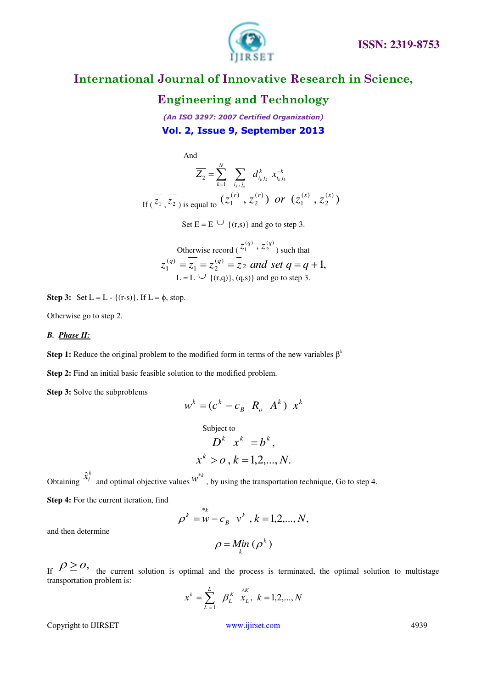



### **Engineering and Technology**

*(An ISO 3297: 2007 Certified Organization)*  **Vol. 2, Issue 9, September 2013**

And

$$
\overline{Z_2} = \sum_{k=1}^{N} \sum_{i_k, j_k} d_{i_k j_k}^k x_{i_k j_k}^{-k}
$$
  
If  $(\overline{z_1}, \overline{z_2})$  is equal to  $(z_1^{(r)}, z_2^{(r)})$  or  $(z_1^{(s)}, z_2^{(s)})$ 

Set  $E = E \cup \{(r,s)\}\$ and go to step 3.

Otherwise record (  $(q)$ 2  $(q)$  $z_1^{(q)}$ ,  $z_2^{(q)}$  such that  $a_2^{(q)} = z_2$  and set  $q = q + 1$ ,  $_1 - \sim_2$  $z_1^{(q)} = z_1 = z_2^{(q)} = z_2$  and set  $q = q +$  $L = L \cup \{(r,q)\}, (q,s)\}\$  and go to step 3.

**Step 3:** Set  $L = L - \{(r-s)\}\$ . If  $L = \phi$ , stop.

Otherwise go to step 2.

### *B. Phase II:*

**Step 1:** Reduce the original problem to the modified form in terms of the new variables  $\beta^k$ 

**Step 2:** Find an initial basic feasible solution to the modified problem.

**Step 3:** Solve the subproblems

$$
w^k = (c^k - c_B \ R_o \ A^k) \ x^k
$$

Subject to  
\n
$$
D^k x^k = b^k,
$$
\n
$$
x^k \ge 0, k = 1, 2, ..., N.
$$

Obtaining *k*  $\hat{x}_l^k$  and optimal objective values  $w^{*k}$ , by using the transportation technique, Go to step 4.

**Step 4:** For the current iteration, find

$$
\rho^k = w - c_B \quad v^k \quad k = 1, 2, ..., N,
$$

and then determine

$$
\rho = \mathop{\mathit{Min}}_{k} \left( \rho^{k} \right)
$$

If  $\rho \geq o$ , the current solution is optimal and the process is terminated, the optimal solution to multistage transportation problem is:

$$
x^{k} = \sum_{L=1}^{L} \beta_{L}^{K} \stackrel{AK}{x_{L}}, k = 1, 2, ..., N
$$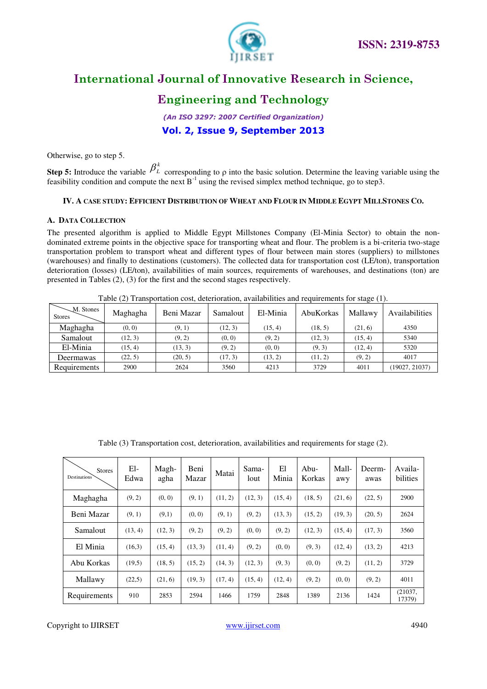

# **Engineering and Technology**

*(An ISO 3297: 2007 Certified Organization)*  **Vol. 2, Issue 9, September 2013**

Otherwise, go to step 5.

**Step 5:** Introduce the variable  $\beta_L^k$  corresponding to  $\rho$  into the basic solution. Determine the leaving variable using the feasibility condition and compute the next  $B^{-1}$  using the revised simplex method technique, go to step3.

### IV. A CASE STUDY: EFFICIENT DISTRIBUTION OF WHEAT AND FLOUR IN MIDDLE EGYPT MILLSTONES CO.

#### **A. DATA COLLECTION**

The presented algorithm is applied to Middle Egypt Millstones Company (El-Minia Sector) to obtain the nondominated extreme points in the objective space for transporting wheat and flour. The problem is a bi-criteria two-stage transportation problem to transport wheat and different types of flour between main stores (suppliers) to millstones (warehouses) and finally to destinations (customers). The collected data for transportation cost (LE/ton), transportation deterioration (losses) (LE/ton), availabilities of main sources, requirements of warehouses, and destinations (ton) are presented in Tables (2), (3) for the first and the second stages respectively.

Table (2) Transportation cost, deterioration, availabilities and requirements for stage (1).

| $-M.$ Stones<br><b>Stores</b> | Maghagha | Beni Mazar | Samalout | El-Minia | AbuKorkas | Mallawy | Availabilities |
|-------------------------------|----------|------------|----------|----------|-----------|---------|----------------|
| Maghagha                      | (0, 0)   | (9, 1)     | (12, 3)  | (15, 4)  | (18, 5)   | (21, 6) | 4350           |
| Samalout                      | (12, 3)  | (9, 2)     | (0, 0)   | (9, 2)   | (12, 3)   | (15, 4) | 5340           |
| El-Minia                      | (15, 4)  | (13, 3)    | (9, 2)   | (0, 0)   | (9, 3)    | (12, 4) | 5320           |
| Deermawas                     | (22, 5)  | (20, 5)    | (17, 3)  | (13, 2)  | (11, 2)   | (9, 2)  | 4017           |
| Requirements                  | 2900     | 2624       | 3560     | 4213     | 3729      | 4011    | 19027, 21037)  |

| <b>Stores</b><br>Destinations <sup>7</sup> | El-<br>Edwa | Magh-<br>agha | Beni<br>Mazar | Matai   | Sama-<br>lout | El<br>Minia | Abu-<br>Korkas | Mall-<br>awy | Deerm-<br>awas | Availa-<br>bilities |
|--------------------------------------------|-------------|---------------|---------------|---------|---------------|-------------|----------------|--------------|----------------|---------------------|
| Maghagha                                   | (9, 2)      | (0, 0)        | (9, 1)        | (11, 2) | (12, 3)       | (15, 4)     | (18, 5)        | (21, 6)      | (22, 5)        | 2900                |
| Beni Mazar                                 | (9, 1)      | (9,1)         | (0, 0)        | (9, 1)  | (9, 2)        | (13, 3)     | (15, 2)        | (19, 3)      | (20, 5)        | 2624                |
| Samalout                                   | (13, 4)     | (12, 3)       | (9, 2)        | (9, 2)  | (0, 0)        | (9, 2)      | (12, 3)        | (15, 4)      | (17, 3)        | 3560                |
| El Minia                                   | (16,3)      | (15, 4)       | (13, 3)       | (11, 4) | (9, 2)        | (0, 0)      | (9, 3)         | (12, 4)      | (13, 2)        | 4213                |
| Abu Korkas                                 | (19.5)      | (18, 5)       | (15, 2)       | (14, 3) | (12, 3)       | (9, 3)      | (0, 0)         | (9, 2)       | (11, 2)        | 3729                |
| Mallawy                                    | (22,5)      | (21, 6)       | (19, 3)       | (17, 4) | (15, 4)       | (12, 4)     | (9, 2)         | (0, 0)       | (9, 2)         | 4011                |
| Requirements                               | 910         | 2853          | 2594          | 1466    | 1759          | 2848        | 1389           | 2136         | 1424           | (21037,<br>17379)   |

Table (3) Transportation cost, deterioration, availabilities and requirements for stage (2).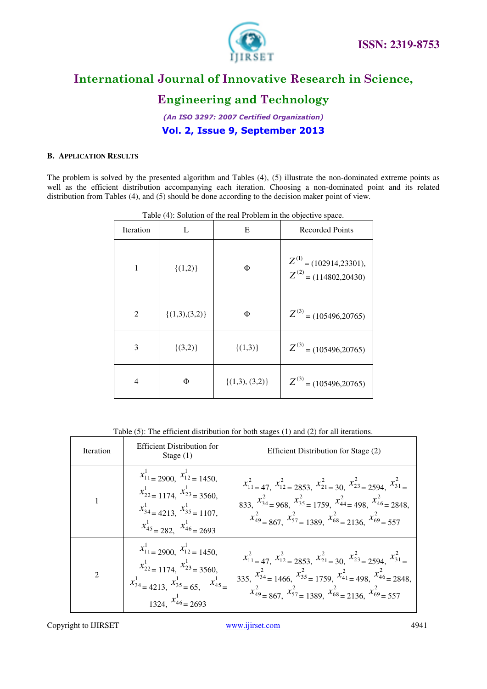

# **Engineering and Technology**

*(An ISO 3297: 2007 Certified Organization)*  **Vol. 2, Issue 9, September 2013**

#### **B. APPLICATION RESULTS**

The problem is solved by the presented algorithm and Tables (4), (5) illustrate the non-dominated extreme points as well as the efficient distribution accompanying each iteration. Choosing a non-dominated point and its related distribution from Tables (4), and (5) should be done according to the decision maker point of view.

| Iteration      | L                  | $1.001$ , $1.001$ and $1.001$ and $1.001$ and $1.001$ and $1.001$ and $1.001$ and $1.001$<br>E | <b>Recorded Points</b>                                    |
|----------------|--------------------|------------------------------------------------------------------------------------------------|-----------------------------------------------------------|
| 1              | $\{(1,2)\}\$       | Φ                                                                                              | $Z^{(1)}$ = (102914,23301),<br>$Z^{(2)}$ = (114802,20430) |
| $\overline{2}$ | $\{(1,3),(3,2)\}\$ | Φ                                                                                              | $Z^{(3)}$ = (105496,20765)                                |
| 3              | $\{(3,2)\}\$       | $\{(1,3)\}\$                                                                                   | $Z^{(3)}$ = (105496,20765)                                |
| 4              | Φ                  | $\{(1,3), (3,2)\}\$                                                                            | $Z^{(3)}$ = (105496,20765)                                |

Table (4): Solution of the real Problem in the objective space.

Table (5): The efficient distribution for both stages (1) and (2) for all iterations.

| Iteration      | Efficient Distribution for<br>Stage $(1)$                                                                                                                                   | Efficient Distribution for Stage (2)                                                                                                                                                                                                                       |
|----------------|-----------------------------------------------------------------------------------------------------------------------------------------------------------------------------|------------------------------------------------------------------------------------------------------------------------------------------------------------------------------------------------------------------------------------------------------------|
|                | $x_{11}^{1} = 2900$ , $x_{12}^{1} = 1450$ ,<br>$x_{22}^1 = 1174$ , $x_{23}^1 = 3560$ ,<br>$x_{34}^1$ = 4213, $x_{35}^1$ = 1107,<br>$x_{45}^{1} = 282$ , $x_{46}^{1} = 2693$ | $x_{11}^2 = 47$ , $x_{12}^2 = 2853$ , $x_{21}^2 = 30$ , $x_{23}^2 = 2594$ , $x_{31}^2 =$<br>833, $x_{34}^2 = 968$ , $x_{35}^2 = 1759$ , $x_{44}^2 = 498$ , $x_{46}^2 = 2848$ ,<br>$x_{49}^2$ = 867. $x_{57}^2$ = 1389. $x_{68}^2$ = 2136, $x_{69}^2$ = 557 |
| $\overline{2}$ | $x_{11}^1 = 2900$ , $x_{12}^1 = 1450$ ,<br>$x_{22}^1$ = 1174, $x_{23}^1$ = 3560,<br>$x_{34}^{1} = 4213, x_{35}^{1} = 65, x_{45}^{1} =$<br>$x_{46}^{1} = 2693$               | $x_{11}^2 = 47$ , $x_{12}^2 = 2853$ , $x_{21}^2 = 30$ , $x_{23}^2 = 2594$ , $x_{31}^2 =$<br>335, $x_{34}^2 = 1466$ , $x_{35}^2 = 1759$ , $x_{41}^2 = 498$ , $x_{46}^2 = 2848$ ,<br>$x_{49}^2 = 867, x_{57}^2 = 1389, x_{68}^2 = 2136, x_{69}^2 = 557$      |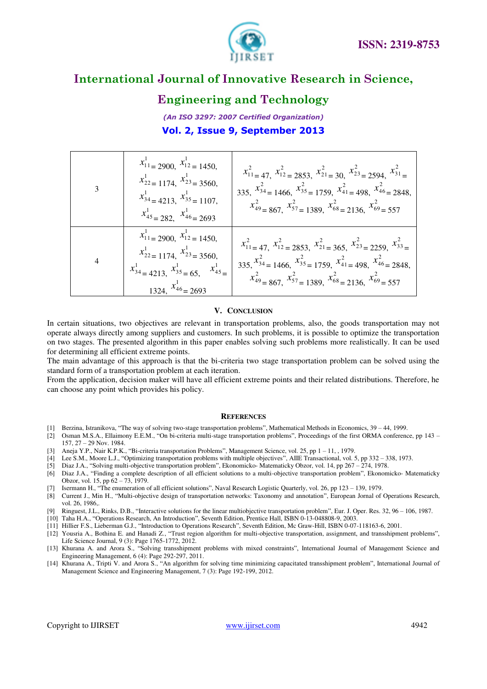



### **Engineering and Technology**

*(An ISO 3297: 2007 Certified Organization)*  **Vol. 2, Issue 9, September 2013**

| $x_{11}^{1} = 2900, \ x_{12}^{1} = 1450,$<br>$x_{22}^1 = 1174$ , $x_{23}^1 = 3560$ ,<br>$x_{34}^{1} = 4213, x_{35}^{1} = 1107,$<br>$x_{45}^{1} = 282, x_{46}^{1} = 2693$ | $x_{11}^2 = 47$ , $x_{12}^2 = 2853$ , $x_{21}^2 = 30$ , $x_{23}^2 = 2594$ , $x_{31}^2 =$<br>335, $x_{34}^2 = 1466$ , $x_{35}^2 = 1759$ , $x_{41}^2 = 498$ , $x_{46}^2 = 2848$ ,<br>$x_{49}^2 = 867$ , $x_{57}^2 = 1389$ , $x_{68}^2 = 2136$ , $x_{69}^2 = 557$ |
|--------------------------------------------------------------------------------------------------------------------------------------------------------------------------|----------------------------------------------------------------------------------------------------------------------------------------------------------------------------------------------------------------------------------------------------------------|
| $x_{11}^{1} = 2900, x_{12}^{1} = 1450,$<br>$x_{22}^1 = 1174$ , $x_{23}^1 = 3560$ ,<br>$x_{34}^{1} = 4213, x_{35}^{1} = 65, x_{45}^{1} =$<br>1324, $x_{46}^{1} = 2693$    | $x_{11}^2 = 47, x_{12}^2 = 2853, x_{21}^2 = 365, x_{23}^2 = 2259, x_{33}^2 =$<br>335, $x_{34}^2 = 1466$ , $x_{35}^2 = 1759$ , $x_{41}^2 = 498$ , $x_{46}^2 = 2848$ ,<br>$x_{49}^2 = 867$ , $x_{57}^2 = 1389$ , $x_{68}^2 = 2136$ , $x_{69}^2 = 557$            |

#### **V. CONCLUSION**

In certain situations, two objectives are relevant in transportation problems, also, the goods transportation may not operate always directly among suppliers and customers. In such problems, it is possible to optimize the transportation on two stages. The presented algorithm in this paper enables solving such problems more realistically. It can be used for determining all efficient extreme points.

The main advantage of this approach is that the bi-criteria two stage transportation problem can be solved using the standard form of a transportation problem at each iteration.

From the application, decision maker will have all efficient extreme points and their related distributions. Therefore, he can choose any point which provides his policy.

#### **REFERENCES**

- [1] Berzina, Istranikova, "The way of solving two-stage transportation problems", Mathematical Methods in Economics, 39 44, 1999.
- [2] Osman M.S.A., Ellaimony E.E.M., "On bi-criteria multi-stage transportation problems", Proceedings of the first ORMA conference, pp 143 157, 27 – 29 Nov. 1984.
- [3] Aneja Y.P., Nair K.P.K., "Bi-criteria transportation Problems", Management Science, vol. 25, pp 1 11, , 1979.
- [4] Lee S.M., Moore L.J., "Optimizing transportation problems with multiple objectives", AIIE Transactional, vol. 5, pp 332 338, 1973.
- [5] Diaz J.A., "Solving multi-objective transportation problem", Ekonomicko- Matematicky Obzor, vol. 14, pp 267 274, 1978.
- [6] Diaz J.A., "Finding a complete description of all efficient solutions to a multi-objective transportation problem", Ekonomicko- Matematicky Obzor, vol. 15, pp 62 – 73, 1979.
- [7] Isermann H., "The enumeration of all efficient solutions", Naval Research Logistic Quarterly, vol. 26, pp 123 139, 1979.
- [8] Current J., Min H., "Multi-objective design of transportation networks: Taxonomy and annotation", European Jornal of Operations Research, vol. 26, 1986,.
- [9] Ringuest, J.L., Rinks, D.B., "Interactive solutions for the linear multiobjective transportation problem", Eur. J. Oper. Res. 32, 96 106, 1987.
- [10] Taha H.A., "Operations Research, An Introduction", Seventh Edition, Prentice Hall, ISBN 0-13-048808-9, 2003.
- [11] Hillier F.S., Lieberman G.J., "Introduction to Operations Research", Seventh Edition, Mc Graw-Hill, ISBN 0-07-118163-6, 2001.
- [12] Yousria A., Bothina E. and Hanadi Z., "Trust region algorithm for multi-objective transportation, assignment, and transshipment problems", Life Science Journal, 9 (3): Page 1765-1772, 2012.
- [13] Khurana A. and Arora S., "Solving transshipment problems with mixed constraints", International Journal of Management Science and Engineering Management, 6 (4): Page 292-297, 2011.
- [14] Khurana A., Tripti V. and Arora S., "An algorithm for solving time minimizing capacitated transshipment problem", International Journal of Management Science and Engineering Management, 7 (3): Page 192-199, 2012.